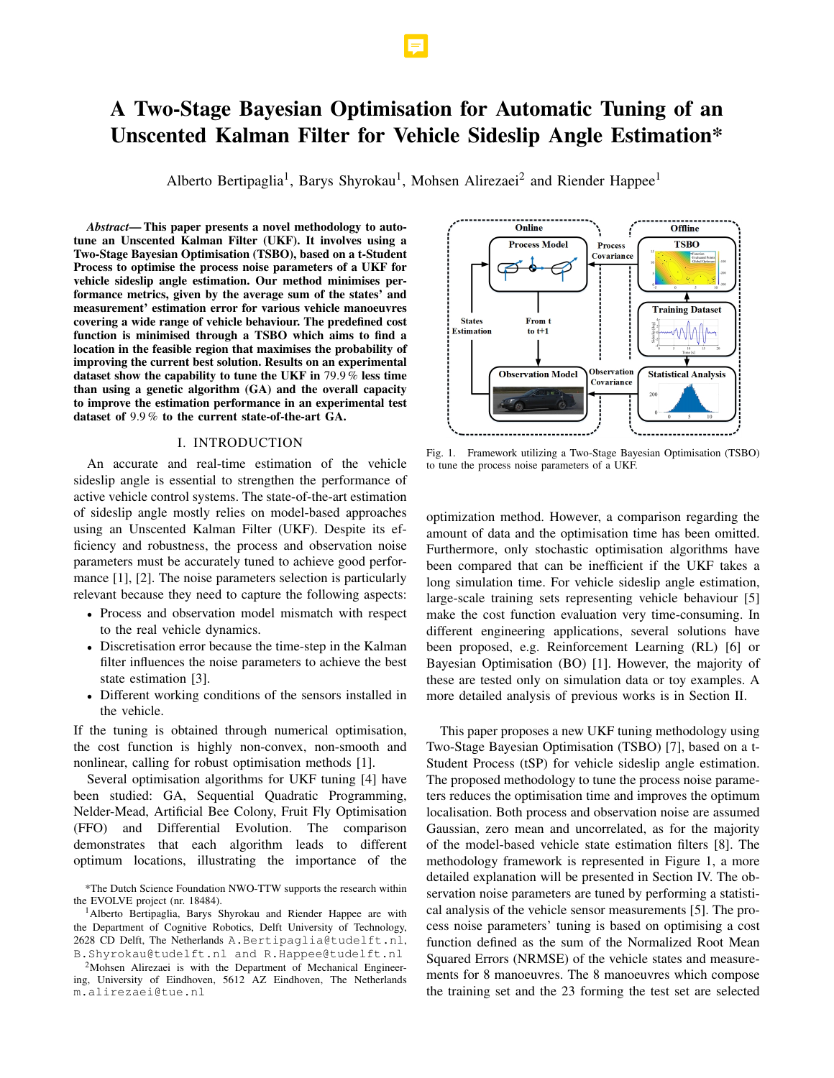# A Two-Stage Bayesian Optimisation for Automatic Tuning of an Unscented Kalman Filter for Vehicle Sideslip Angle Estimation\*

Alberto Bertipaglia<sup>1</sup>, Barys Shyrokau<sup>1</sup>, Mohsen Alirezaei<sup>2</sup> and Riender Happee<sup>1</sup>

*Abstract*— This paper presents a novel methodology to autotune an Unscented Kalman Filter (UKF). It involves using a Two-Stage Bayesian Optimisation (TSBO), based on a t-Student Process to optimise the process noise parameters of a UKF for vehicle sideslip angle estimation. Our method minimises performance metrics, given by the average sum of the states' and measurement' estimation error for various vehicle manoeuvres covering a wide range of vehicle behaviour. The predefined cost function is minimised through a TSBO which aims to find a location in the feasible region that maximises the probability of improving the current best solution. Results on an experimental dataset show the capability to tune the UKF in 79.9 % less time than using a genetic algorithm (GA) and the overall capacity to improve the estimation performance in an experimental test dataset of 9.9 % to the current state-of-the-art GA.

## I. INTRODUCTION

An accurate and real-time estimation of the vehicle sideslip angle is essential to strengthen the performance of active vehicle control systems. The state-of-the-art estimation of sideslip angle mostly relies on model-based approaches using an Unscented Kalman Filter (UKF). Despite its efficiency and robustness, the process and observation noise parameters must be accurately tuned to achieve good performance [1], [2]. The noise parameters selection is particularly relevant because they need to capture the following aspects:

- Process and observation model mismatch with respect to the real vehicle dynamics.
- Discretisation error because the time-step in the Kalman filter influences the noise parameters to achieve the best state estimation [3].
- Different working conditions of the sensors installed in the vehicle.

If the tuning is obtained through numerical optimisation, the cost function is highly non-convex, non-smooth and nonlinear, calling for robust optimisation methods [1].

Several optimisation algorithms for UKF tuning [4] have been studied: GA, Sequential Quadratic Programming, Nelder-Mead, Artificial Bee Colony, Fruit Fly Optimisation (FFO) and Differential Evolution. The comparison demonstrates that each algorithm leads to different optimum locations, illustrating the importance of the



Fig. 1. Framework utilizing a Two-Stage Bayesian Optimisation (TSBO) to tune the process noise parameters of a UKF.

optimization method. However, a comparison regarding the amount of data and the optimisation time has been omitted. Furthermore, only stochastic optimisation algorithms have been compared that can be inefficient if the UKF takes a long simulation time. For vehicle sideslip angle estimation, large-scale training sets representing vehicle behaviour [5] make the cost function evaluation very time-consuming. In different engineering applications, several solutions have been proposed, e.g. Reinforcement Learning (RL) [6] or Bayesian Optimisation (BO) [1]. However, the majority of these are tested only on simulation data or toy examples. A more detailed analysis of previous works is in Section II.

This paper proposes a new UKF tuning methodology using Two-Stage Bayesian Optimisation (TSBO) [7], based on a t-Student Process (tSP) for vehicle sideslip angle estimation. The proposed methodology to tune the process noise parameters reduces the optimisation time and improves the optimum localisation. Both process and observation noise are assumed Gaussian, zero mean and uncorrelated, as for the majority of the model-based vehicle state estimation filters [8]. The methodology framework is represented in Figure 1, a more detailed explanation will be presented in Section IV. The observation noise parameters are tuned by performing a statistical analysis of the vehicle sensor measurements [5]. The process noise parameters' tuning is based on optimising a cost function defined as the sum of the Normalized Root Mean Squared Errors (NRMSE) of the vehicle states and measurements for 8 manoeuvres. The 8 manoeuvres which compose the training set and the 23 forming the test set are selected

<sup>\*</sup>The Dutch Science Foundation NWO-TTW supports the research within the EVOLVE project (nr. 18484).

<sup>1</sup>Alberto Bertipaglia, Barys Shyrokau and Riender Happee are with the Department of Cognitive Robotics, Delft University of Technology, 2628 CD Delft, The Netherlands A.Bertipaglia@tudelft.nl, B.Shyrokau@tudelft.nl and R.Happee@tudelft.nl

<sup>&</sup>lt;sup>2</sup>Mohsen Alirezaei is with the Department of Mechanical Engineering, University of Eindhoven, 5612 AZ Eindhoven, The Netherlands m.alirezaei@tue.nl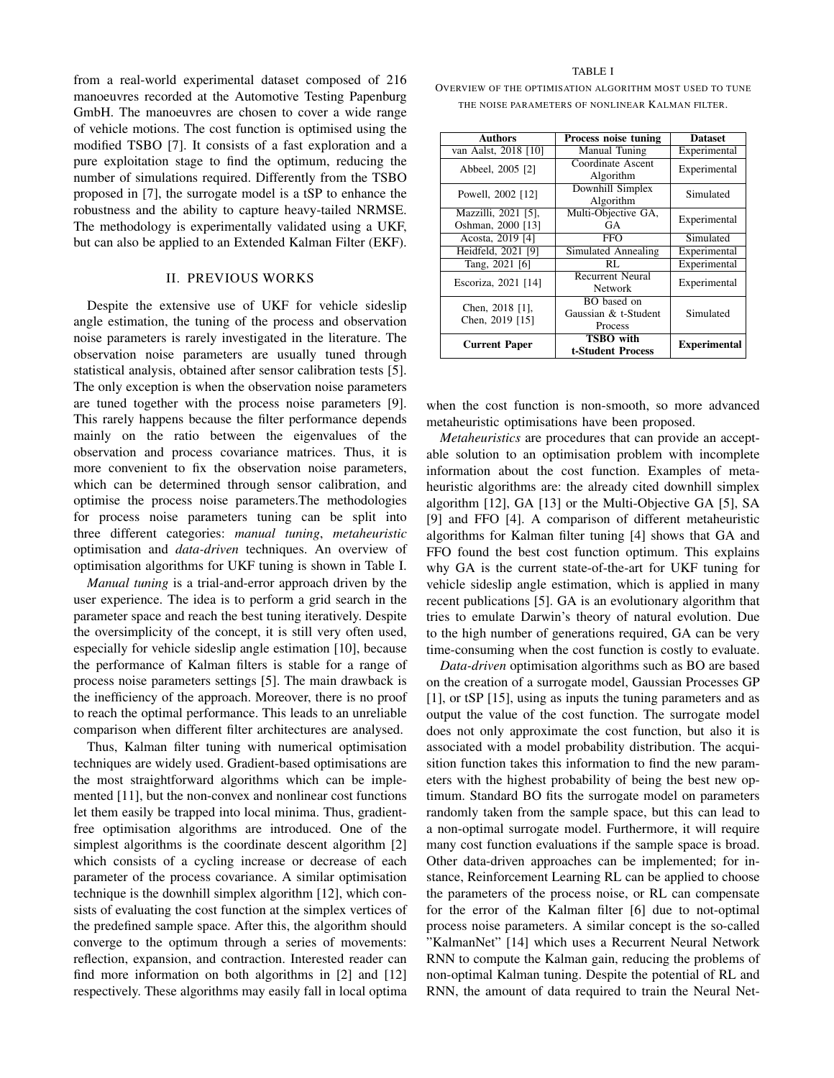from a real-world experimental dataset composed of 216 manoeuvres recorded at the Automotive Testing Papenburg GmbH. The manoeuvres are chosen to cover a wide range of vehicle motions. The cost function is optimised using the modified TSBO [7]. It consists of a fast exploration and a pure exploitation stage to find the optimum, reducing the number of simulations required. Differently from the TSBO proposed in [7], the surrogate model is a tSP to enhance the robustness and the ability to capture heavy-tailed NRMSE. The methodology is experimentally validated using a UKF, but can also be applied to an Extended Kalman Filter (EKF).

# II. PREVIOUS WORKS

Despite the extensive use of UKF for vehicle sideslip angle estimation, the tuning of the process and observation noise parameters is rarely investigated in the literature. The observation noise parameters are usually tuned through statistical analysis, obtained after sensor calibration tests [5]. The only exception is when the observation noise parameters are tuned together with the process noise parameters [9]. This rarely happens because the filter performance depends mainly on the ratio between the eigenvalues of the observation and process covariance matrices. Thus, it is more convenient to fix the observation noise parameters, which can be determined through sensor calibration, and optimise the process noise parameters.The methodologies for process noise parameters tuning can be split into three different categories: *manual tuning*, *metaheuristic* optimisation and *data-driven* techniques. An overview of optimisation algorithms for UKF tuning is shown in Table I.

*Manual tuning* is a trial-and-error approach driven by the user experience. The idea is to perform a grid search in the parameter space and reach the best tuning iteratively. Despite the oversimplicity of the concept, it is still very often used, especially for vehicle sideslip angle estimation [10], because the performance of Kalman filters is stable for a range of process noise parameters settings [5]. The main drawback is the inefficiency of the approach. Moreover, there is no proof to reach the optimal performance. This leads to an unreliable comparison when different filter architectures are analysed.

Thus, Kalman filter tuning with numerical optimisation techniques are widely used. Gradient-based optimisations are the most straightforward algorithms which can be implemented [11], but the non-convex and nonlinear cost functions let them easily be trapped into local minima. Thus, gradientfree optimisation algorithms are introduced. One of the simplest algorithms is the coordinate descent algorithm [2] which consists of a cycling increase or decrease of each parameter of the process covariance. A similar optimisation technique is the downhill simplex algorithm [12], which consists of evaluating the cost function at the simplex vertices of the predefined sample space. After this, the algorithm should converge to the optimum through a series of movements: reflection, expansion, and contraction. Interested reader can find more information on both algorithms in [2] and [12] respectively. These algorithms may easily fall in local optima

#### TABLE I

OVERVIEW OF THE OPTIMISATION ALGORITHM MOST USED TO TUNE THE NOISE PARAMETERS OF NONLINEAR KALMAN FILTER.

| <b>Authors</b>                           | Process noise tuning                           | <b>Dataset</b>      |
|------------------------------------------|------------------------------------------------|---------------------|
| van Aalst, 2018 [10]                     | Manual Tuning                                  | Experimental        |
| Abbeel, 2005 [2]                         | Coordinate Ascent<br>Algorithm                 | Experimental        |
| Powell, 2002 [12]                        | Downhill Simplex<br>Algorithm                  | Simulated           |
| Mazzilli, 2021 [5],<br>Oshman, 2000 [13] | Multi-Objective GA,<br>GА                      | Experimental        |
| Acosta, 2019 [4]                         | FFO                                            | Simulated           |
| Heidfeld, 2021 [9]                       | Simulated Annealing                            | Experimental        |
| Tang, 2021 [6]                           | RL                                             | Experimental        |
| Escoriza, 2021 [14]                      | <b>Recurrent Neural</b><br><b>Network</b>      | Experimental        |
| Chen, 2018 [1],<br>Chen, 2019 [15]       | BO based on<br>Gaussian & t-Student<br>Process | Simulated           |
| <b>Current Paper</b>                     | <b>TSBO</b> with<br>t-Student Process          | <b>Experimental</b> |

when the cost function is non-smooth, so more advanced metaheuristic optimisations have been proposed.

*Metaheuristics* are procedures that can provide an acceptable solution to an optimisation problem with incomplete information about the cost function. Examples of metaheuristic algorithms are: the already cited downhill simplex algorithm [12], GA [13] or the Multi-Objective GA [5], SA [9] and FFO [4]. A comparison of different metaheuristic algorithms for Kalman filter tuning [4] shows that GA and FFO found the best cost function optimum. This explains why GA is the current state-of-the-art for UKF tuning for vehicle sideslip angle estimation, which is applied in many recent publications [5]. GA is an evolutionary algorithm that tries to emulate Darwin's theory of natural evolution. Due to the high number of generations required, GA can be very time-consuming when the cost function is costly to evaluate.

*Data-driven* optimisation algorithms such as BO are based on the creation of a surrogate model, Gaussian Processes GP [1], or tSP [15], using as inputs the tuning parameters and as output the value of the cost function. The surrogate model does not only approximate the cost function, but also it is associated with a model probability distribution. The acquisition function takes this information to find the new parameters with the highest probability of being the best new optimum. Standard BO fits the surrogate model on parameters randomly taken from the sample space, but this can lead to a non-optimal surrogate model. Furthermore, it will require many cost function evaluations if the sample space is broad. Other data-driven approaches can be implemented; for instance, Reinforcement Learning RL can be applied to choose the parameters of the process noise, or RL can compensate for the error of the Kalman filter [6] due to not-optimal process noise parameters. A similar concept is the so-called "KalmanNet" [14] which uses a Recurrent Neural Network RNN to compute the Kalman gain, reducing the problems of non-optimal Kalman tuning. Despite the potential of RL and RNN, the amount of data required to train the Neural Net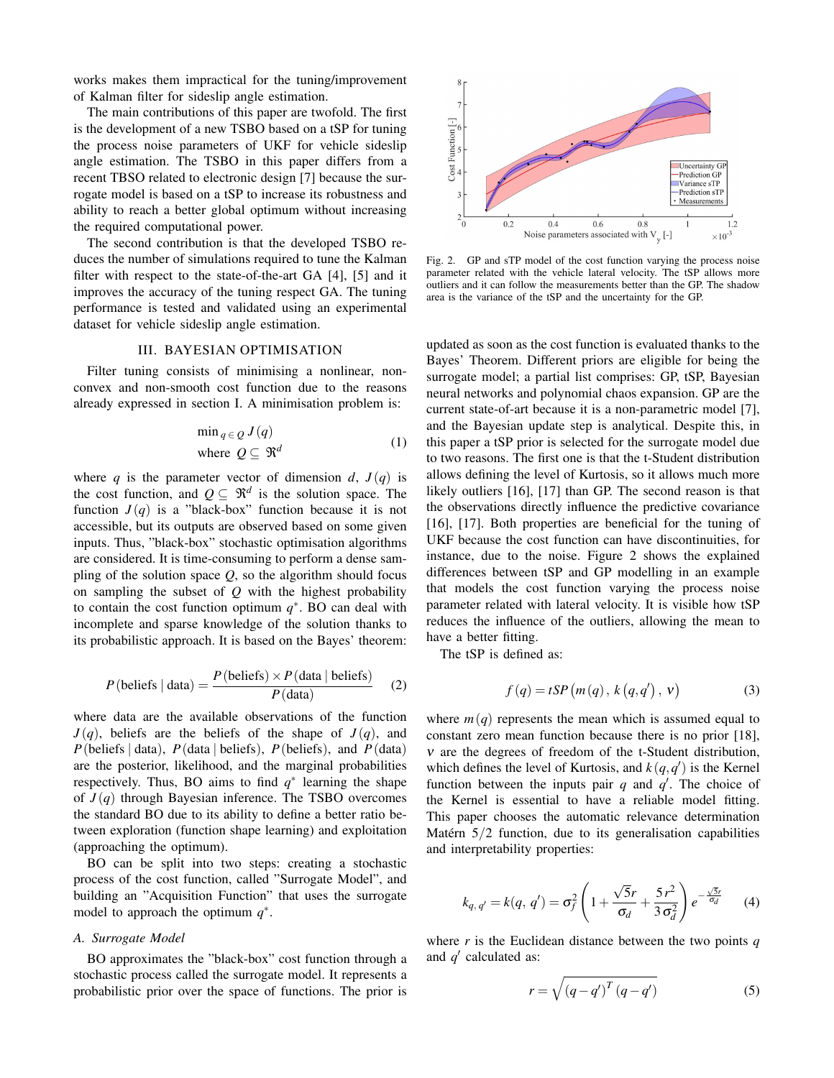works makes them impractical for the tuning/improvement of Kalman filter for sideslip angle estimation.

The main contributions of this paper are twofold. The first is the development of a new TSBO based on a tSP for tuning the process noise parameters of UKF for vehicle sideslip angle estimation. The TSBO in this paper differs from a recent TBSO related to electronic design [7] because the surrogate model is based on a tSP to increase its robustness and ability to reach a better global optimum without increasing the required computational power.

The second contribution is that the developed TSBO reduces the number of simulations required to tune the Kalman filter with respect to the state-of-the-art GA [4], [5] and it improves the accuracy of the tuning respect GA. The tuning performance is tested and validated using an experimental dataset for vehicle sideslip angle estimation.

## III. BAYESIAN OPTIMISATION

Filter tuning consists of minimising a nonlinear, nonconvex and non-smooth cost function due to the reasons already expressed in section I. A minimisation problem is:

$$
\min_{q \in \mathcal{Q}} J(q)
$$
  
where  $Q \subseteq \mathfrak{R}^d$  (1)

where *q* is the parameter vector of dimension *d*,  $J(q)$  is the cost function, and  $Q \subseteq \mathbb{R}^d$  is the solution space. The function  $J(q)$  is a "black-box" function because it is not accessible, but its outputs are observed based on some given inputs. Thus, "black-box" stochastic optimisation algorithms are considered. It is time-consuming to perform a dense sampling of the solution space *Q*, so the algorithm should focus on sampling the subset of *Q* with the highest probability to contain the cost function optimum  $q^*$ . BO can deal with incomplete and sparse knowledge of the solution thanks to its probabilistic approach. It is based on the Bayes' theorem:

$$
P(\text{beliefs} \mid \text{data}) = \frac{P(\text{beliefs}) \times P(\text{data} \mid \text{beliefs})}{P(\text{data})}
$$
 (2)

where data are the available observations of the function  $J(q)$ , beliefs are the beliefs of the shape of  $J(q)$ , and  $P$ (beliefs | data),  $P$ (data | beliefs),  $P$ (beliefs), and  $P$ (data) are the posterior, likelihood, and the marginal probabilities respectively. Thus, BO aims to find  $q^*$  learning the shape of *J* (*q*) through Bayesian inference. The TSBO overcomes the standard BO due to its ability to define a better ratio between exploration (function shape learning) and exploitation (approaching the optimum).

BO can be split into two steps: creating a stochastic process of the cost function, called "Surrogate Model", and building an "Acquisition Function" that uses the surrogate model to approach the optimum  $q^*$ .

# *A. Surrogate Model*

BO approximates the "black-box" cost function through a stochastic process called the surrogate model. It represents a probabilistic prior over the space of functions. The prior is



Fig. 2. GP and sTP model of the cost function varying the process noise parameter related with the vehicle lateral velocity. The tSP allows more outliers and it can follow the measurements better than the GP. The shadow area is the variance of the tSP and the uncertainty for the GP.

updated as soon as the cost function is evaluated thanks to the Bayes' Theorem. Different priors are eligible for being the surrogate model; a partial list comprises: GP, tSP, Bayesian neural networks and polynomial chaos expansion. GP are the current state-of-art because it is a non-parametric model [7], and the Bayesian update step is analytical. Despite this, in this paper a tSP prior is selected for the surrogate model due to two reasons. The first one is that the t-Student distribution allows defining the level of Kurtosis, so it allows much more likely outliers [16], [17] than GP. The second reason is that the observations directly influence the predictive covariance [16], [17]. Both properties are beneficial for the tuning of UKF because the cost function can have discontinuities, for instance, due to the noise. Figure 2 shows the explained differences between tSP and GP modelling in an example that models the cost function varying the process noise parameter related with lateral velocity. It is visible how tSP reduces the influence of the outliers, allowing the mean to have a better fitting.

The tSP is defined as:

$$
f(q) = tSP(m(q), k(q, q'), v)
$$
 (3)

where  $m(q)$  represents the mean which is assumed equal to constant zero mean function because there is no prior [18], ν are the degrees of freedom of the t-Student distribution, which defines the level of Kurtosis, and  $k(q, q')$  is the Kernel function between the inputs pair  $q$  and  $q'$ . The choice of the Kernel is essential to have a reliable model fitting. This paper chooses the automatic relevance determination Matérn  $5/2$  function, due to its generalisation capabilities and interpretability properties:

$$
k_{q,q'} = k(q, q') = \sigma_f^2 \left( 1 + \frac{\sqrt{5}r}{\sigma_d} + \frac{5r^2}{3\sigma_d^2} \right) e^{-\frac{\sqrt{5}r}{\sigma_d}} \tag{4}
$$

where *r* is the Euclidean distance between the two points *q* and  $q'$  calculated as:

$$
r = \sqrt{\left(q - q'\right)^T \left(q - q'\right)}\tag{5}
$$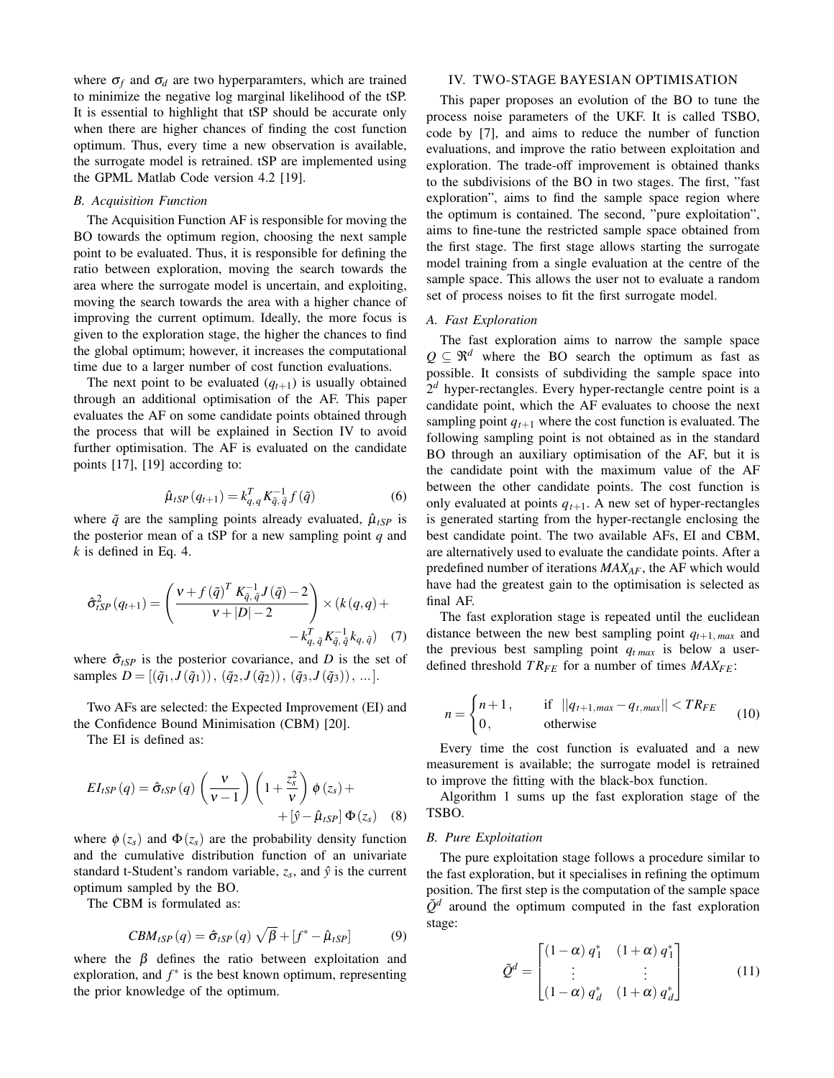where  $\sigma_f$  and  $\sigma_d$  are two hyperparamters, which are trained to minimize the negative log marginal likelihood of the tSP. It is essential to highlight that tSP should be accurate only when there are higher chances of finding the cost function optimum. Thus, every time a new observation is available, the surrogate model is retrained. tSP are implemented using the GPML Matlab Code version 4.2 [19].

# *B. Acquisition Function*

The Acquisition Function AF is responsible for moving the BO towards the optimum region, choosing the next sample point to be evaluated. Thus, it is responsible for defining the ratio between exploration, moving the search towards the area where the surrogate model is uncertain, and exploiting, moving the search towards the area with a higher chance of improving the current optimum. Ideally, the more focus is given to the exploration stage, the higher the chances to find the global optimum; however, it increases the computational time due to a larger number of cost function evaluations.

The next point to be evaluated  $(q_{t+1})$  is usually obtained through an additional optimisation of the AF. This paper evaluates the AF on some candidate points obtained through the process that will be explained in Section IV to avoid further optimisation. The AF is evaluated on the candidate points [17], [19] according to:

$$
\hat{\mu}_{tSP}(q_{t+1}) = k_{q,q}^T K_{\tilde{q},\tilde{q}}^{-1} f(\tilde{q})
$$
\n(6)

where  $\tilde{q}$  are the sampling points already evaluated,  $\hat{\mu}_{tSP}$  is the posterior mean of a tSP for a new sampling point *q* and *k* is defined in Eq. 4.

$$
\hat{\sigma}_{tSP}^{2}(q_{t+1}) = \left(\frac{\nu + f(\tilde{q})^{T} K_{\tilde{q}, \tilde{q}}^{-1} J(\tilde{q}) - 2}{\nu + |D| - 2}\right) \times (k(q, q) + -k_{q, \tilde{q}}^{T} K_{\tilde{q}, \tilde{q}}^{-1} k_{q, \tilde{q}})
$$
(7)

where  $\hat{\sigma}_{tSP}$  is the posterior covariance, and *D* is the set of samples  $D = [(\tilde{q}_1, J(\tilde{q}_1)), (\tilde{q}_2, J(\tilde{q}_2)), (\tilde{q}_3, J(\tilde{q}_3)), \ldots].$ 

Two AFs are selected: the Expected Improvement (EI) and the Confidence Bound Minimisation (CBM) [20].

The EI is defined as:

$$
EI_{tSP}(q) = \hat{\sigma}_{tSP}(q) \left(\frac{v}{v-1}\right) \left(1 + \frac{z_s^2}{v}\right) \phi(z_s) + \\ + \left[\hat{y} - \hat{\mu}_{tSP}\right] \Phi(z_s) \quad (8)
$$

where  $\phi(z_s)$  and  $\Phi(z_s)$  are the probability density function and the cumulative distribution function of an univariate standard t-Student's random variable,  $z_s$ , and  $\hat{y}$  is the current optimum sampled by the BO.

The CBM is formulated as:

$$
CBM_{tSP}(q) = \hat{\sigma}_{tSP}(q) \sqrt{\beta} + [f^* - \hat{\mu}_{tSP}] \tag{9}
$$

where the  $\beta$  defines the ratio between exploitation and exploration, and  $f^*$  is the best known optimum, representing the prior knowledge of the optimum.

# IV. TWO-STAGE BAYESIAN OPTIMISATION

This paper proposes an evolution of the BO to tune the process noise parameters of the UKF. It is called TSBO, code by [7], and aims to reduce the number of function evaluations, and improve the ratio between exploitation and exploration. The trade-off improvement is obtained thanks to the subdivisions of the BO in two stages. The first, "fast exploration", aims to find the sample space region where the optimum is contained. The second, "pure exploitation", aims to fine-tune the restricted sample space obtained from the first stage. The first stage allows starting the surrogate model training from a single evaluation at the centre of the sample space. This allows the user not to evaluate a random set of process noises to fit the first surrogate model.

# *A. Fast Exploration*

The fast exploration aims to narrow the sample space  $Q \subseteq \mathbb{R}^d$  where the BO search the optimum as fast as possible. It consists of subdividing the sample space into  $2<sup>d</sup>$  hyper-rectangles. Every hyper-rectangle centre point is a candidate point, which the AF evaluates to choose the next sampling point  $q_{t+1}$  where the cost function is evaluated. The following sampling point is not obtained as in the standard BO through an auxiliary optimisation of the AF, but it is the candidate point with the maximum value of the AF between the other candidate points. The cost function is only evaluated at points  $q_{t+1}$ . A new set of hyper-rectangles is generated starting from the hyper-rectangle enclosing the best candidate point. The two available AFs, EI and CBM, are alternatively used to evaluate the candidate points. After a predefined number of iterations *MAXAF*, the AF which would have had the greatest gain to the optimisation is selected as final AF.

The fast exploration stage is repeated until the euclidean distance between the new best sampling point *qt*+1, *max* and the previous best sampling point *qt max* is below a userdefined threshold *T RFE* for a number of times *MAXFE*:

$$
n = \begin{cases} n+1, & \text{if } ||q_{t+1,max} - q_{t,max}|| < TR_{FE} \\ 0, & \text{otherwise} \end{cases} \tag{10}
$$

Every time the cost function is evaluated and a new measurement is available; the surrogate model is retrained to improve the fitting with the black-box function.

Algorithm 1 sums up the fast exploration stage of the TSBO.

# *B. Pure Exploitation*

The pure exploitation stage follows a procedure similar to the fast exploration, but it specialises in refining the optimum position. The first step is the computation of the sample space  $\tilde{Q}^d$  around the optimum computed in the fast exploration stage:

$$
\tilde{\mathcal{Q}}^d = \begin{bmatrix} (1 - \alpha) q_1^* & (1 + \alpha) q_1^* \\ \vdots & \vdots \\ (1 - \alpha) q_d^* & (1 + \alpha) q_d^* \end{bmatrix} \tag{11}
$$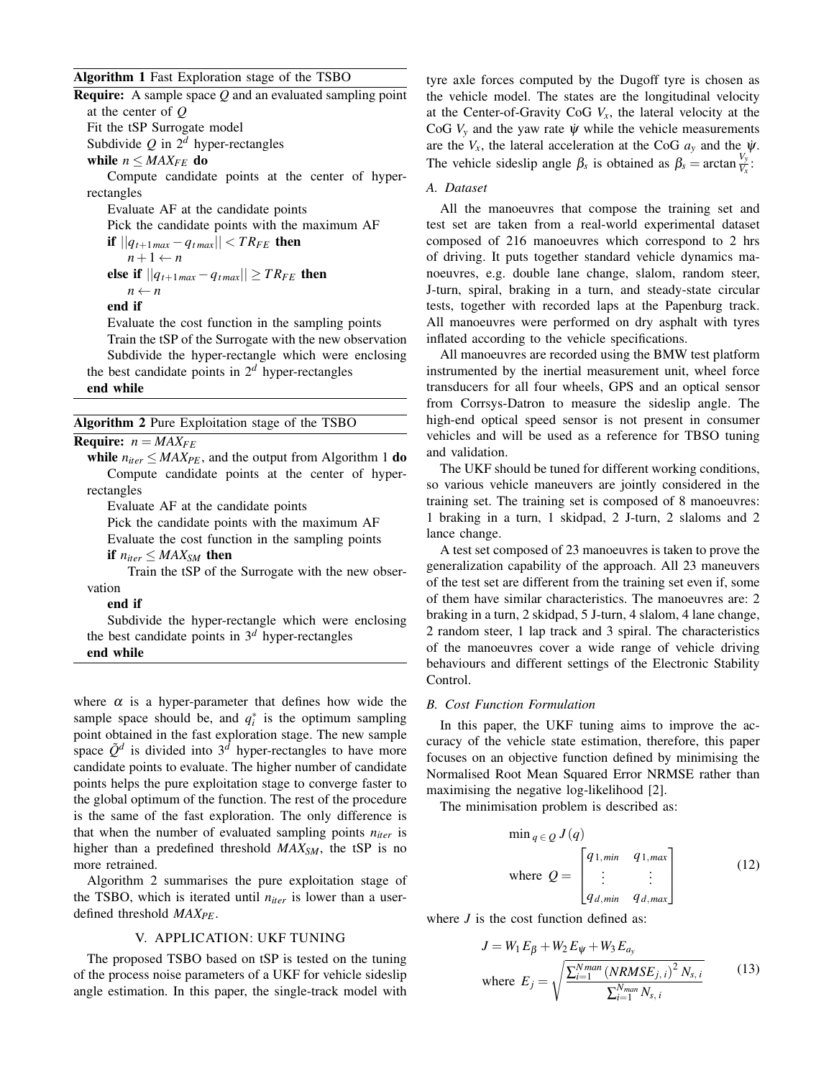# Algorithm 1 Fast Exploration stage of the TSBO

| <b>Require:</b> A sample space $Q$ and an evaluated sampling point |
|--------------------------------------------------------------------|
| at the center of $O$                                               |
| Fit the tSP Surrogate model                                        |
| Subdivide Q in $2^d$ hyper-rectangles                              |
| while $n \leq MAX_{FF}$ do                                         |
| Compute candidate points at the center of hyper-                   |
| rectangles                                                         |
|                                                                    |

Evaluate AF at the candidate points

Pick the candidate points with the maximum AF

$$
\begin{aligned} \text{if } ||q_{t+1\max} - q_{t\max}|| < TR_{FE} \text{ then} \\ n+1 &\leftarrow n \\ \text{else if } ||q_{t+1\max} - q_{t\max}|| \geq TR_{FE} \text{ then} \\ n &\leftarrow n \end{aligned}
$$

end if

Evaluate the cost function in the sampling points

Train the tSP of the Surrogate with the new observation Subdivide the hyper-rectangle which were enclosing the best candidate points in  $2<sup>d</sup>$  hyper-rectangles

# end while

#### Algorithm 2 Pure Exploitation stage of the TSBO

**Require:**  $n = MAX_{FE}$ 

**while**  $n_{iter}$  ≤ *MAX<sub>PE</sub>*, and the output from Algorithm 1 **do** Compute candidate points at the center of hyperrectangles

Evaluate AF at the candidate points

Pick the candidate points with the maximum AF

Evaluate the cost function in the sampling points

if  $n_{iter} \leq MAX_{SM}$  then

Train the tSP of the Surrogate with the new observation

end if

Subdivide the hyper-rectangle which were enclosing the best candidate points in  $3<sup>d</sup>$  hyper-rectangles end while

where  $\alpha$  is a hyper-parameter that defines how wide the sample space should be, and  $q_i^*$  is the optimum sampling point obtained in the fast exploration stage. The new sample space  $\tilde{Q}^d$  is divided into  $3^{\tilde{d}}$  hyper-rectangles to have more candidate points to evaluate. The higher number of candidate points helps the pure exploitation stage to converge faster to the global optimum of the function. The rest of the procedure is the same of the fast exploration. The only difference is that when the number of evaluated sampling points *niter* is higher than a predefined threshold *MAXSM*, the tSP is no more retrained.

Algorithm 2 summarises the pure exploitation stage of the TSBO, which is iterated until *niter* is lower than a userdefined threshold *MAXPE*.

#### V. APPLICATION: UKF TUNING

The proposed TSBO based on tSP is tested on the tuning of the process noise parameters of a UKF for vehicle sideslip angle estimation. In this paper, the single-track model with tyre axle forces computed by the Dugoff tyre is chosen as the vehicle model. The states are the longitudinal velocity at the Center-of-Gravity CoG  $V_x$ , the lateral velocity at the CoG  $V_y$  and the yaw rate  $\psi$  while the vehicle measurements are the  $V_x$ , the lateral acceleration at the CoG  $a_y$  and the  $\psi$ . The vehicle sideslip angle  $\beta_s$  is obtained as  $\beta_s = \arctan \frac{V_y}{V_x}$ .

## *A. Dataset*

All the manoeuvres that compose the training set and test set are taken from a real-world experimental dataset composed of 216 manoeuvres which correspond to 2 hrs of driving. It puts together standard vehicle dynamics manoeuvres, e.g. double lane change, slalom, random steer, J-turn, spiral, braking in a turn, and steady-state circular tests, together with recorded laps at the Papenburg track. All manoeuvres were performed on dry asphalt with tyres inflated according to the vehicle specifications.

All manoeuvres are recorded using the BMW test platform instrumented by the inertial measurement unit, wheel force transducers for all four wheels, GPS and an optical sensor from Corrsys-Datron to measure the sideslip angle. The high-end optical speed sensor is not present in consumer vehicles and will be used as a reference for TBSO tuning and validation.

The UKF should be tuned for different working conditions, so various vehicle maneuvers are jointly considered in the training set. The training set is composed of 8 manoeuvres: 1 braking in a turn, 1 skidpad, 2 J-turn, 2 slaloms and 2 lance change.

A test set composed of 23 manoeuvres is taken to prove the generalization capability of the approach. All 23 maneuvers of the test set are different from the training set even if, some of them have similar characteristics. The manoeuvres are: 2 braking in a turn, 2 skidpad, 5 J-turn, 4 slalom, 4 lane change, 2 random steer, 1 lap track and 3 spiral. The characteristics of the manoeuvres cover a wide range of vehicle driving behaviours and different settings of the Electronic Stability Control.

# *B. Cost Function Formulation*

In this paper, the UKF tuning aims to improve the accuracy of the vehicle state estimation, therefore, this paper focuses on an objective function defined by minimising the Normalised Root Mean Squared Error NRMSE rather than maximising the negative log-likelihood [2].

The minimisation problem is described as:

$$
\min_{q \in Q} J(q)
$$
\nwhere  $Q = \begin{bmatrix} q_{1,min} & q_{1,max} \\ \vdots & \vdots \\ q_{d,min} & q_{d,max} \end{bmatrix}$ 

\n(12)

where *J* is the cost function defined as:

$$
J = W_1 E_{\beta} + W_2 E_{\psi} + W_3 E_{a_y}
$$
  
where  $E_j = \sqrt{\frac{\sum_{i=1}^{N_{man}} (NRMSE_{j,i})^2 N_{s,i}}{\sum_{i=1}^{N_{man}} N_{s,i}}}$  (13)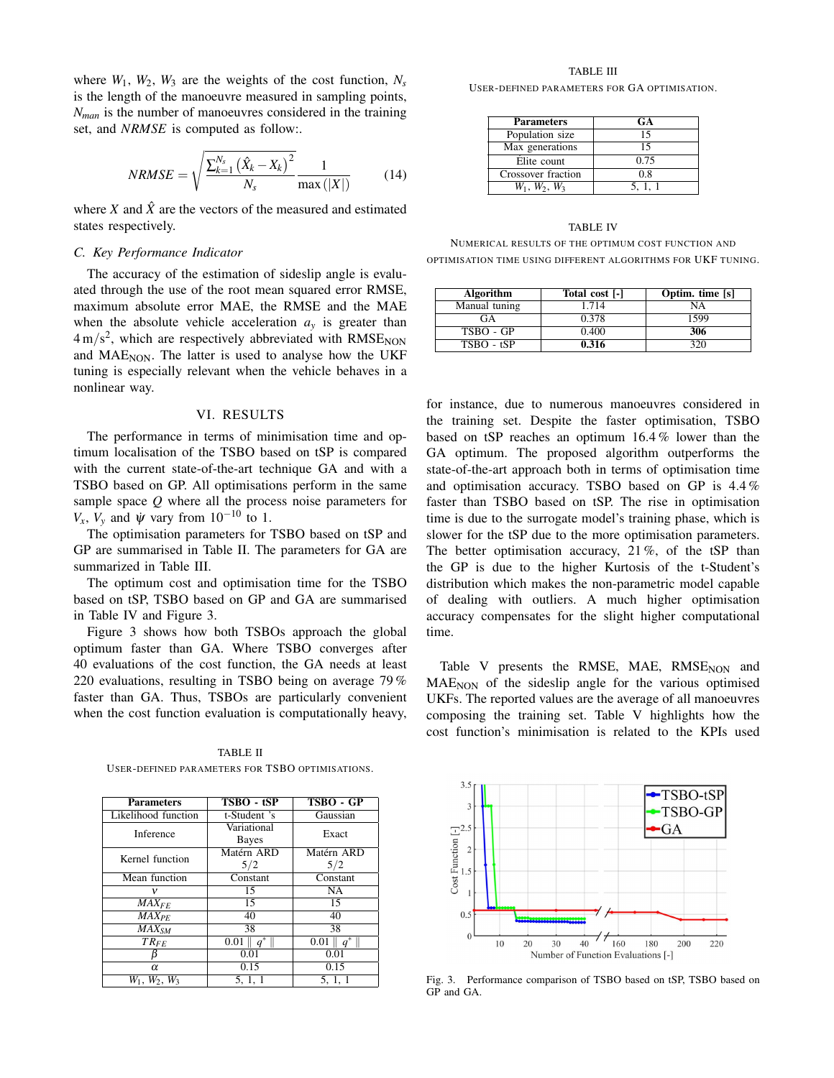where  $W_1$ ,  $W_2$ ,  $W_3$  are the weights of the cost function,  $N_s$ is the length of the manoeuvre measured in sampling points, *Nman* is the number of manoeuvres considered in the training set, and *NRMSE* is computed as follow:.

$$
NRMSE = \sqrt{\frac{\sum_{k=1}^{N_s} (\hat{X}_k - X_k)^2}{N_s}} \frac{1}{\max(|X|)}
$$
(14)

where *X* and  $\hat{X}$  are the vectors of the measured and estimated states respectively.

## *C. Key Performance Indicator*

The accuracy of the estimation of sideslip angle is evaluated through the use of the root mean squared error RMSE, maximum absolute error MAE, the RMSE and the MAE when the absolute vehicle acceleration  $a<sub>v</sub>$  is greater than  $4 \text{ m/s}^2$ , which are respectively abbreviated with RMSE<sub>NON</sub> and  $MAE<sub>NON</sub>$ . The latter is used to analyse how the UKF tuning is especially relevant when the vehicle behaves in a nonlinear way.

#### VI. RESULTS

The performance in terms of minimisation time and optimum localisation of the TSBO based on tSP is compared with the current state-of-the-art technique GA and with a TSBO based on GP. All optimisations perform in the same sample space *Q* where all the process noise parameters for  $V_x$ ,  $V_y$  and  $\psi$  vary from 10<sup>-10</sup> to 1.

The optimisation parameters for TSBO based on tSP and GP are summarised in Table II. The parameters for GA are summarized in Table III.

The optimum cost and optimisation time for the TSBO based on tSP, TSBO based on GP and GA are summarised in Table IV and Figure 3.

Figure 3 shows how both TSBOs approach the global optimum faster than GA. Where TSBO converges after 40 evaluations of the cost function, the GA needs at least 220 evaluations, resulting in TSBO being on average 79 % faster than GA. Thus, TSBOs are particularly convenient when the cost function evaluation is computationally heavy,

TABLE II USER-DEFINED PARAMETERS FOR TSBO OPTIMISATIONS.

| <b>Parameters</b>   | TSBO - tSP                  | TSBO - GP           |  |
|---------------------|-----------------------------|---------------------|--|
| Likelihood function | t-Student 's                | Gaussian            |  |
| Inference           | Variational<br><b>Bayes</b> | Exact               |  |
| Kernel function     | Matérn ARD<br>5/2           | Matérn ARD<br>5/2   |  |
| Mean function       | Constant                    | Constant            |  |
| ν                   | 15                          | NA                  |  |
| $MAX_{FF}$          | 15                          | 15                  |  |
| $MAX_{PF}$          | 40                          | 40                  |  |
| $MAX_{SM}$          | 38                          | 38                  |  |
| $TR_{FE}$           | $0.01$ $\parallel$<br>$q^*$ | 0.01<br>$a^{\circ}$ |  |
|                     | 0.01                        | 0.01                |  |
| $\alpha$            | 0.15                        | 0.15                |  |
| $W_1, W_2, W_3$     | 5, 1, 1                     | 5.1.1               |  |

## TABLE III USER-DEFINED PARAMETERS FOR GA OPTIMISATION.

| <b>Parameters</b>     | GA    |
|-----------------------|-------|
| Population size       | 15    |
| Max generations       | 15    |
| Élite count           | 0.75  |
| Crossover fraction    | 0.8   |
| $W_1$ , $W_2$ , $W_3$ | 5.1.1 |

# TABLE IV NUMERICAL RESULTS OF THE OPTIMUM COST FUNCTION AND OPTIMISATION TIME USING DIFFERENT ALGORITHMS FOR UKF TUNING.

| Algorithm     | Total cost [-] | Optim. time [s] |
|---------------|----------------|-----------------|
| Manual tuning | 1.714          | NA              |
| GA            | 0.378          | 1599            |
| TSBO - GP     | 0.400          | 306             |
| $TSBO - tSP$  | 0.316          | 320             |

for instance, due to numerous manoeuvres considered in the training set. Despite the faster optimisation, TSBO based on tSP reaches an optimum 16.4 % lower than the GA optimum. The proposed algorithm outperforms the state-of-the-art approach both in terms of optimisation time and optimisation accuracy. TSBO based on GP is 4.4 % faster than TSBO based on tSP. The rise in optimisation time is due to the surrogate model's training phase, which is slower for the tSP due to the more optimisation parameters. The better optimisation accuracy, 21 %, of the tSP than the GP is due to the higher Kurtosis of the t-Student's distribution which makes the non-parametric model capable of dealing with outliers. A much higher optimisation accuracy compensates for the slight higher computational time.

Table V presents the RMSE, MAE, RMSE<sub>NON</sub> and  $MAE<sub>NON</sub>$  of the sideslip angle for the various optimised UKFs. The reported values are the average of all manoeuvres composing the training set. Table V highlights how the cost function's minimisation is related to the KPIs used



Fig. 3. Performance comparison of TSBO based on tSP, TSBO based on GP and GA.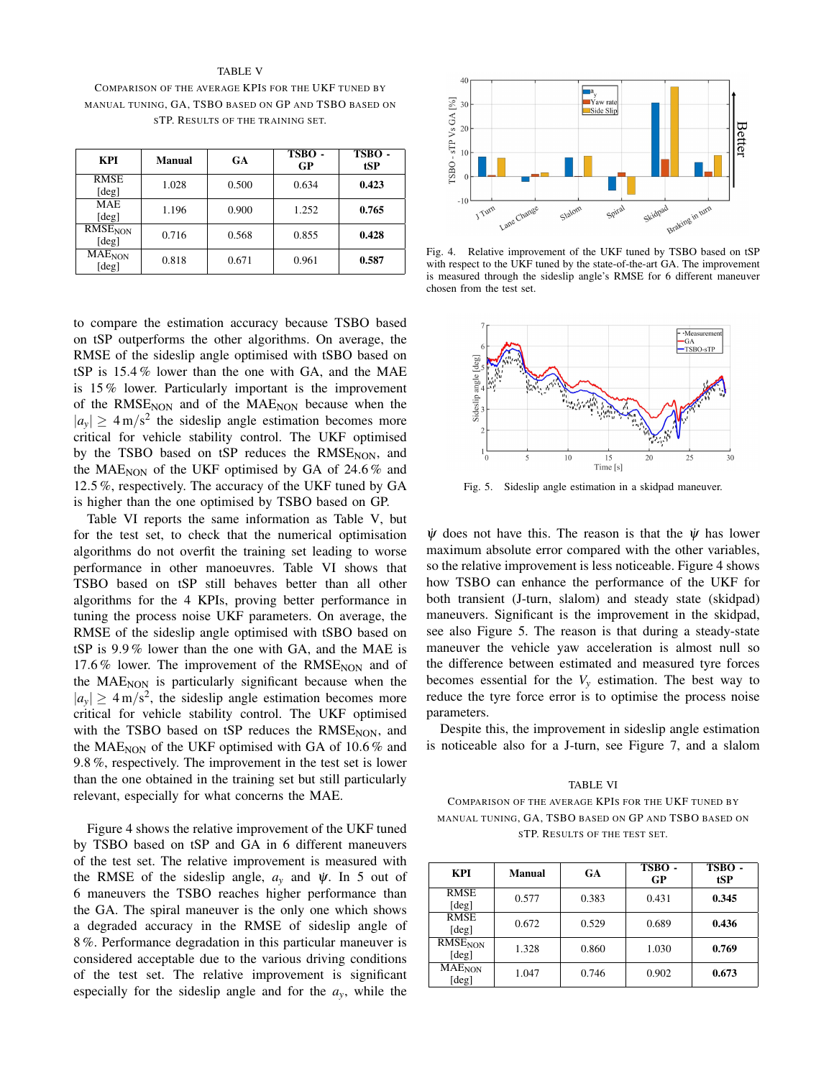TABLE V COMPARISON OF THE AVERAGE KPIS FOR THE UKF TUNED BY MANUAL TUNING, GA, TSBO BASED ON GP AND TSBO BASED ON STP. RESULTS OF THE TRAINING SET.

| KPI                                | <b>Manual</b> | <b>GA</b> | TSBO-<br>GP | TSBO-<br>tSP |
|------------------------------------|---------------|-----------|-------------|--------------|
| <b>RMSE</b><br>[deg]               | 1.028         | 0.500     | 0.634       | 0.423        |
| <b>MAE</b><br>[deg]                | 1.196         | 0.900     | 1.252       | 0.765        |
| <b>RMSENON</b><br>[deg]            | 0.716         | 0.568     | 0.855       | 0.428        |
| <b>MAE</b> <sub>NON</sub><br>[deg] | 0.818         | 0.671     | 0.961       | 0.587        |

to compare the estimation accuracy because TSBO based on tSP outperforms the other algorithms. On average, the RMSE of the sideslip angle optimised with tSBO based on tSP is 15.4 % lower than the one with GA, and the MAE is 15 % lower. Particularly important is the improvement of the  $RMSE<sub>NON</sub>$  and of the  $MAE<sub>NON</sub>$  because when the  $|a_y| \geq 4 \text{ m/s}^2$  the sideslip angle estimation becomes more critical for vehicle stability control. The UKF optimised by the TSBO based on tSP reduces the  $RMSE<sub>NON</sub>$ , and the MAE<sub>NON</sub> of the UKF optimised by GA of 24.6  $%$  and 12.5 %, respectively. The accuracy of the UKF tuned by GA is higher than the one optimised by TSBO based on GP.

Table VI reports the same information as Table V, but for the test set, to check that the numerical optimisation algorithms do not overfit the training set leading to worse performance in other manoeuvres. Table VI shows that TSBO based on tSP still behaves better than all other algorithms for the 4 KPIs, proving better performance in tuning the process noise UKF parameters. On average, the RMSE of the sideslip angle optimised with tSBO based on tSP is 9.9 % lower than the one with GA, and the MAE is 17.6% lower. The improvement of the  $RMSE<sub>NON</sub>$  and of the  $MAE<sub>NON</sub>$  is particularly significant because when the  $|a_y| \geq 4 \,\text{m/s}^2$ , the sideslip angle estimation becomes more critical for vehicle stability control. The UKF optimised with the TSBO based on tSP reduces the  $RMSE<sub>NON</sub>$ , and the MAE<sub>NON</sub> of the UKF optimised with GA of  $10.6\%$  and 9.8 %, respectively. The improvement in the test set is lower than the one obtained in the training set but still particularly relevant, especially for what concerns the MAE.

Figure 4 shows the relative improvement of the UKF tuned by TSBO based on tSP and GA in 6 different maneuvers of the test set. The relative improvement is measured with the RMSE of the sideslip angle,  $a<sub>y</sub>$  and  $\dot{\psi}$ . In 5 out of 6 maneuvers the TSBO reaches higher performance than the GA. The spiral maneuver is the only one which shows a degraded accuracy in the RMSE of sideslip angle of 8 %. Performance degradation in this particular maneuver is considered acceptable due to the various driving conditions of the test set. The relative improvement is significant especially for the sideslip angle and for the  $a<sub>y</sub>$ , while the



Fig. 4. Relative improvement of the UKF tuned by TSBO based on tSP with respect to the UKF tuned by the state-of-the-art GA. The improvement is measured through the sideslip angle's RMSE for 6 different maneuver chosen from the test set.



Fig. 5. Sideslip angle estimation in a skidpad maneuver.

 $\dot{\psi}$  does not have this. The reason is that the  $\dot{\psi}$  has lower maximum absolute error compared with the other variables, so the relative improvement is less noticeable. Figure 4 shows how TSBO can enhance the performance of the UKF for both transient (J-turn, slalom) and steady state (skidpad) maneuvers. Significant is the improvement in the skidpad, see also Figure 5. The reason is that during a steady-state maneuver the vehicle yaw acceleration is almost null so the difference between estimated and measured tyre forces becomes essential for the  $V_y$  estimation. The best way to reduce the tyre force error is to optimise the process noise parameters.

Despite this, the improvement in sideslip angle estimation is noticeable also for a J-turn, see Figure 7, and a slalom

TABLE VI COMPARISON OF THE AVERAGE KPIS FOR THE UKF TUNED BY MANUAL TUNING, GA, TSBO BASED ON GP AND TSBO BASED ON STP. RESULTS OF THE TEST SET.

| KPI                                | <b>Manual</b> | GA    | TSBO-<br>GP | TSBO-<br>tSP |
|------------------------------------|---------------|-------|-------------|--------------|
| RMSE<br>[deg]                      | 0.577         | 0.383 | 0.431       | 0.345        |
| <b>RMSE</b><br>[deg]               | 0.672         | 0.529 | 0.689       | 0.436        |
| <b>RMSE<sub>NON</sub></b><br>[deg] | 1.328         | 0.860 | 1.030       | 0.769        |
| <b>MAE</b> <sub>NON</sub><br>[deg] | 1.047         | 0.746 | 0.902       | 0.673        |